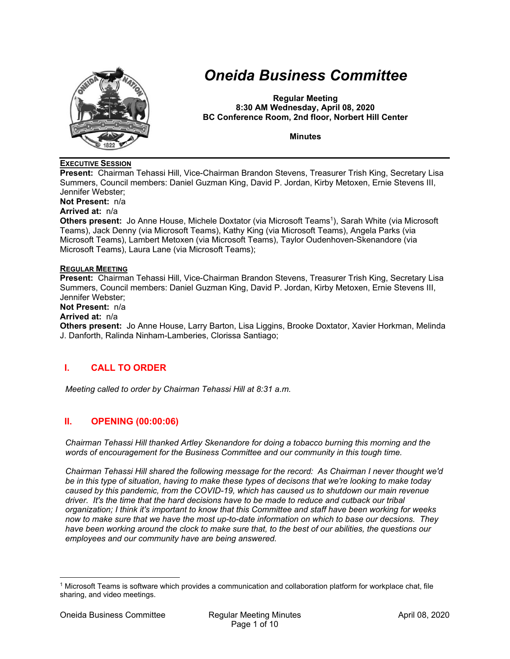

# *Oneida Business Committee*

**Regular Meeting 8:30 AM Wednesday, April 08, 2020 BC Conference Room, 2nd floor, Norbert Hill Center** 

**Minutes** 

## **EXECUTIVE SESSION**

**Present:** Chairman Tehassi Hill, Vice-Chairman Brandon Stevens, Treasurer Trish King, Secretary Lisa Summers, Council members: Daniel Guzman King, David P. Jordan, Kirby Metoxen, Ernie Stevens III, Jennifer Webster;

**Not Present:** n/a

## **Arrived at:** n/a

**Others present:** Jo Anne House, Michele Doxtator (via Microsoft Teams<sup>1</sup>), Sarah White (via Microsoft Teams), Jack Denny (via Microsoft Teams), Kathy King (via Microsoft Teams), Angela Parks (via Microsoft Teams), Lambert Metoxen (via Microsoft Teams), Taylor Oudenhoven-Skenandore (via Microsoft Teams), Laura Lane (via Microsoft Teams);

#### **REGULAR MEETING**

**Present:** Chairman Tehassi Hill, Vice-Chairman Brandon Stevens, Treasurer Trish King, Secretary Lisa Summers, Council members: Daniel Guzman King, David P. Jordan, Kirby Metoxen, Ernie Stevens III, Jennifer Webster;

**Not Present:** n/a

#### **Arrived at:** n/a

**Others present:** Jo Anne House, Larry Barton, Lisa Liggins, Brooke Doxtator, Xavier Horkman, Melinda J. Danforth, Ralinda Ninham-Lamberies, Clorissa Santiago;

# **I. CALL TO ORDER**

*Meeting called to order by Chairman Tehassi Hill at 8:31 a.m.* 

# **II. OPENING (00:00:06)**

*Chairman Tehassi Hill thanked Artley Skenandore for doing a tobacco burning this morning and the words of encouragement for the Business Committee and our community in this tough time.* 

*Chairman Tehassi Hill shared the following message for the record: As Chairman I never thought we'd be in this type of situation, having to make these types of decisons that we're looking to make today caused by this pandemic, from the COVID-19, which has caused us to shutdown our main revenue driver. It's the time that the hard decisions have to be made to reduce and cutback our tribal organization; I think it's important to know that this Committee and staff have been working for weeks now to make sure that we have the most up-to-date information on which to base our decsions. They have been working around the clock to make sure that, to the best of our abilities, the questions our employees and our community have are being answered.* 

<sup>1</sup> Microsoft Teams is software which provides a communication and collaboration platform for workplace chat, file sharing, and video meetings.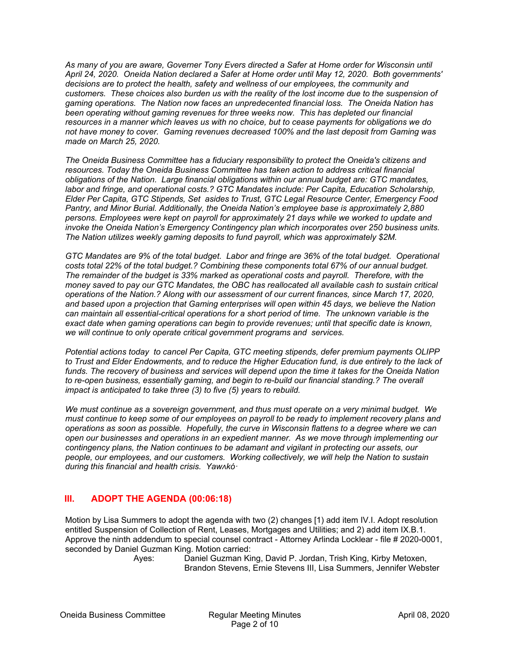*As many of you are aware, Governer Tony Evers directed a Safer at Home order for Wisconsin until April 24, 2020. Oneida Nation declared a Safer at Home order until May 12, 2020. Both governments' decisions are to protect the health, safety and wellness of our employees, the community and customers. These choices also burden us with the reality of the lost income due to the suspension of gaming operations. The Nation now faces an unpredecented financial loss. The Oneida Nation has been operating without gaming revenues for three weeks now. This has depleted our financial resources in a manner which leaves us with no choice, but to cease payments for obligations we do not have money to cover. Gaming revenues decreased 100% and the last deposit from Gaming was made on March 25, 2020.* 

*The Oneida Business Committee has a fiduciary responsibility to protect the Oneida's citizens and resources. Today the Oneida Business Committee has taken action to address critical financial obligations of the Nation. Large financial obligations within our annual budget are: GTC mandates, labor and fringe, and operational costs.? GTC Mandates include: Per Capita, Education Scholarship, Elder Per Capita, GTC Stipends, Set asides to Trust, GTC Legal Resource Center, Emergency Food Pantry, and Minor Burial. Additionally, the Oneida Nation's employee base is approximately 2,880 persons. Employees were kept on payroll for approximately 21 days while we worked to update and invoke the Oneida Nation's Emergency Contingency plan which incorporates over 250 business units. The Nation utilizes weekly gaming deposits to fund payroll, which was approximately \$2M.* 

*GTC Mandates are 9% of the total budget. Labor and fringe are 36% of the total budget. Operational costs total 22% of the total budget.? Combining these components total 67% of our annual budget. The remainder of the budget is 33% marked as operational costs and payroll. Therefore, with the money saved to pay our GTC Mandates, the OBC has reallocated all available cash to sustain critical operations of the Nation.? Along with our assessment of our current finances, since March 17, 2020, and based upon a projection that Gaming enterprises will open within 45 days, we believe the Nation can maintain all essential-critical operations for a short period of time. The unknown variable is the exact date when gaming operations can begin to provide revenues; until that specific date is known, we will continue to only operate critical government programs and services.* 

*Potential actions today to cancel Per Capita, GTC meeting stipends, defer premium payments OLIPP*  to Trust and Elder Endowments, and to reduce the Higher Education fund, is due entirely to the lack of *funds. The recovery of business and services will depend upon the time it takes for the Oneida Nation*  to re-open business, essentially gaming, and begin to re-build our financial standing.? The overall *impact is anticipated to take three (3) to five (5) years to rebuild.* 

*We must continue as a sovereign government, and thus must operate on a very minimal budget. We must continue to keep some of our employees on payroll to be ready to implement recovery plans and operations as soon as possible. Hopefully, the curve in Wisconsin flattens to a degree where we can open our businesses and operations in an expedient manner. As we move through implementing our contingency plans, the Nation continues to be adamant and vigilant in protecting our assets, our people, our employees, and our customers. Working collectively, we will help the Nation to sustain during this financial and health crisis. Yawʌkóꞏ*

# **III. ADOPT THE AGENDA (00:06:18)**

Motion by Lisa Summers to adopt the agenda with two (2) changes [1) add item IV.I. Adopt resolution entitled Suspension of Collection of Rent, Leases, Mortgages and Utilities; and 2) add item IX.B.1. Approve the ninth addendum to special counsel contract - Attorney Arlinda Locklear - file # 2020-0001, seconded by Daniel Guzman King. Motion carried:

 Ayes: Daniel Guzman King, David P. Jordan, Trish King, Kirby Metoxen, Brandon Stevens, Ernie Stevens III, Lisa Summers, Jennifer Webster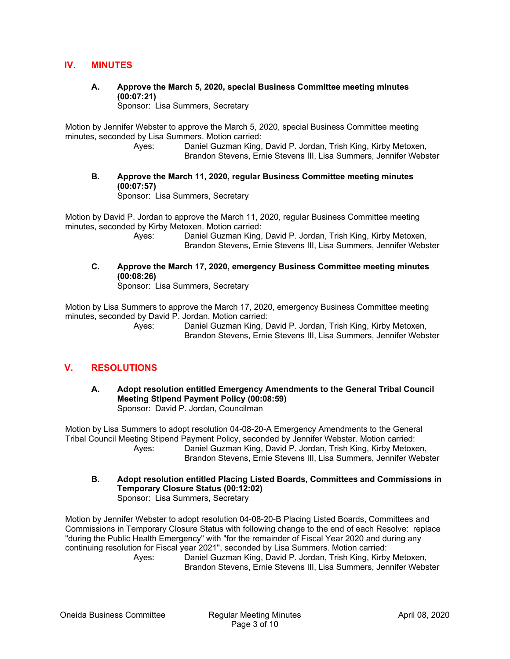# **IV. MINUTES**

**A. Approve the March 5, 2020, special Business Committee meeting minutes (00:07:21)** 

Sponsor: Lisa Summers, Secretary

Motion by Jennifer Webster to approve the March 5, 2020, special Business Committee meeting minutes, seconded by Lisa Summers. Motion carried:

 Ayes: Daniel Guzman King, David P. Jordan, Trish King, Kirby Metoxen, Brandon Stevens, Ernie Stevens III, Lisa Summers, Jennifer Webster

**B. Approve the March 11, 2020, regular Business Committee meeting minutes (00:07:57)** 

Sponsor: Lisa Summers, Secretary

Motion by David P. Jordan to approve the March 11, 2020, regular Business Committee meeting minutes, seconded by Kirby Metoxen. Motion carried:<br>Ayes: Daniel Guzman King.

Daniel Guzman King, David P. Jordan, Trish King, Kirby Metoxen, Brandon Stevens, Ernie Stevens III, Lisa Summers, Jennifer Webster

**C. Approve the March 17, 2020, emergency Business Committee meeting minutes (00:08:26)** 

Sponsor: Lisa Summers, Secretary

Motion by Lisa Summers to approve the March 17, 2020, emergency Business Committee meeting minutes, seconded by David P. Jordan. Motion carried:

 Ayes: Daniel Guzman King, David P. Jordan, Trish King, Kirby Metoxen, Brandon Stevens, Ernie Stevens III, Lisa Summers, Jennifer Webster

# **V. RESOLUTIONS**

**A. Adopt resolution entitled Emergency Amendments to the General Tribal Council Meeting Stipend Payment Policy (00:08:59)**  Sponsor: David P. Jordan, Councilman

Motion by Lisa Summers to adopt resolution 04-08-20-A Emergency Amendments to the General Tribal Council Meeting Stipend Payment Policy, seconded by Jennifer Webster. Motion carried: Ayes: Daniel Guzman King, David P. Jordan, Trish King, Kirby Metoxen, Brandon Stevens, Ernie Stevens III, Lisa Summers, Jennifer Webster

**B. Adopt resolution entitled Placing Listed Boards, Committees and Commissions in Temporary Closure Status (00:12:02)**  Sponsor: Lisa Summers, Secretary

Motion by Jennifer Webster to adopt resolution 04-08-20-B Placing Listed Boards, Committees and Commissions in Temporary Closure Status with following change to the end of each Resolve: replace "during the Public Health Emergency" with "for the remainder of Fiscal Year 2020 and during any continuing resolution for Fiscal year 2021", seconded by Lisa Summers. Motion carried:

 Ayes: Daniel Guzman King, David P. Jordan, Trish King, Kirby Metoxen, Brandon Stevens, Ernie Stevens III, Lisa Summers, Jennifer Webster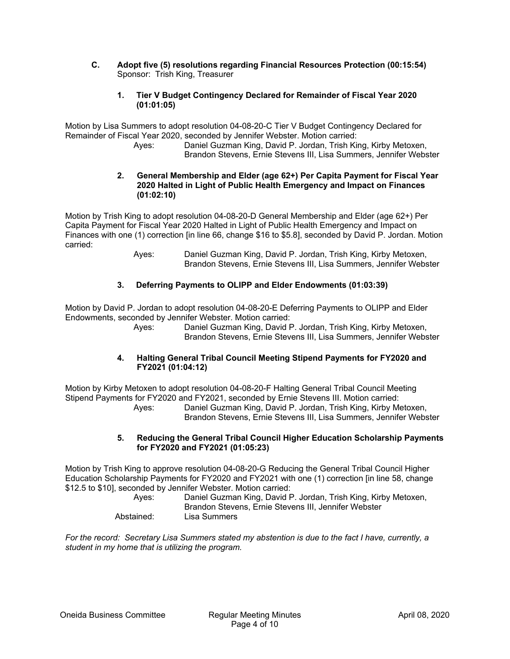- **C. Adopt five (5) resolutions regarding Financial Resources Protection (00:15:54)**  Sponsor: Trish King, Treasurer
	- **1. Tier V Budget Contingency Declared for Remainder of Fiscal Year 2020 (01:01:05)**

Motion by Lisa Summers to adopt resolution 04-08-20-C Tier V Budget Contingency Declared for Remainder of Fiscal Year 2020, seconded by Jennifer Webster. Motion carried:

 Ayes: Daniel Guzman King, David P. Jordan, Trish King, Kirby Metoxen, Brandon Stevens, Ernie Stevens III, Lisa Summers, Jennifer Webster

## **2. General Membership and Elder (age 62+) Per Capita Payment for Fiscal Year 2020 Halted in Light of Public Health Emergency and Impact on Finances (01:02:10)**

Motion by Trish King to adopt resolution 04-08-20-D General Membership and Elder (age 62+) Per Capita Payment for Fiscal Year 2020 Halted in Light of Public Health Emergency and Impact on Finances with one (1) correction [in line 66, change \$16 to \$5.8], seconded by David P. Jordan. Motion carried:

 Ayes: Daniel Guzman King, David P. Jordan, Trish King, Kirby Metoxen, Brandon Stevens, Ernie Stevens III, Lisa Summers, Jennifer Webster

## **3. Deferring Payments to OLIPP and Elder Endowments (01:03:39)**

Motion by David P. Jordan to adopt resolution 04-08-20-E Deferring Payments to OLIPP and Elder Endowments, seconded by Jennifer Webster. Motion carried:

 Ayes: Daniel Guzman King, David P. Jordan, Trish King, Kirby Metoxen, Brandon Stevens, Ernie Stevens III, Lisa Summers, Jennifer Webster

### **4. Halting General Tribal Council Meeting Stipend Payments for FY2020 and FY2021 (01:04:12)**

Motion by Kirby Metoxen to adopt resolution 04-08-20-F Halting General Tribal Council Meeting Stipend Payments for FY2020 and FY2021, seconded by Ernie Stevens III. Motion carried: Ayes: Daniel Guzman King, David P. Jordan, Trish King, Kirby Metoxen, Brandon Stevens, Ernie Stevens III, Lisa Summers, Jennifer Webster

#### **5. Reducing the General Tribal Council Higher Education Scholarship Payments for FY2020 and FY2021 (01:05:23)**

Motion by Trish King to approve resolution 04-08-20-G Reducing the General Tribal Council Higher Education Scholarship Payments for FY2020 and FY2021 with one (1) correction [in line 58, change \$12.5 to \$10], seconded by Jennifer Webster. Motion carried:

| Aves:      | Daniel Guzman King, David P. Jordan, Trish King, Kirby Metoxen,<br>Brandon Stevens, Ernie Stevens III, Jennifer Webster |
|------------|-------------------------------------------------------------------------------------------------------------------------|
| Abstained: | Lisa Summers                                                                                                            |

*For the record: Secretary Lisa Summers stated my abstention is due to the fact I have, currently, a student in my home that is utilizing the program.*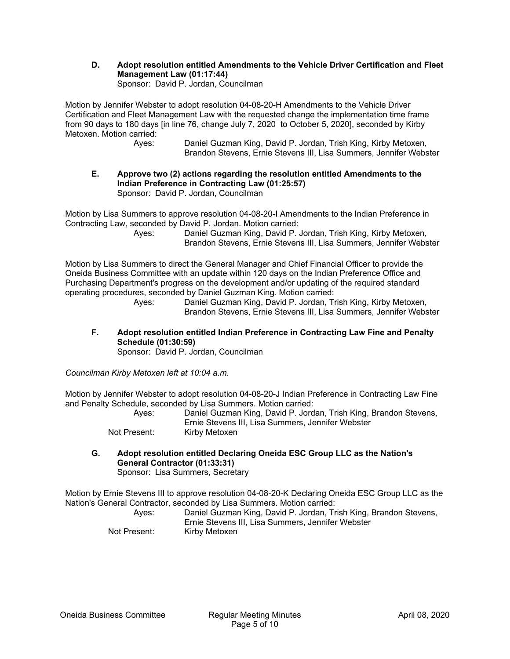**D. Adopt resolution entitled Amendments to the Vehicle Driver Certification and Fleet Management Law (01:17:44)**  Sponsor: David P. Jordan, Councilman

Motion by Jennifer Webster to adopt resolution 04-08-20-H Amendments to the Vehicle Driver Certification and Fleet Management Law with the requested change the implementation time frame from 90 days to 180 days [in line 76, change July 7, 2020 to October 5, 2020], seconded by Kirby Metoxen. Motion carried:

 Ayes: Daniel Guzman King, David P. Jordan, Trish King, Kirby Metoxen, Brandon Stevens, Ernie Stevens III, Lisa Summers, Jennifer Webster

#### **E. Approve two (2) actions regarding the resolution entitled Amendments to the Indian Preference in Contracting Law (01:25:57)**  Sponsor: David P. Jordan, Councilman

Motion by Lisa Summers to approve resolution 04-08-20-I Amendments to the Indian Preference in Contracting Law, seconded by David P. Jordan. Motion carried:

 Ayes: Daniel Guzman King, David P. Jordan, Trish King, Kirby Metoxen, Brandon Stevens, Ernie Stevens III, Lisa Summers, Jennifer Webster

Motion by Lisa Summers to direct the General Manager and Chief Financial Officer to provide the Oneida Business Committee with an update within 120 days on the Indian Preference Office and Purchasing Department's progress on the development and/or updating of the required standard operating procedures, seconded by Daniel Guzman King. Motion carried:

 Ayes: Daniel Guzman King, David P. Jordan, Trish King, Kirby Metoxen, Brandon Stevens, Ernie Stevens III, Lisa Summers, Jennifer Webster

**F. Adopt resolution entitled Indian Preference in Contracting Law Fine and Penalty Schedule (01:30:59)**  Sponsor: David P. Jordan, Councilman

*Councilman Kirby Metoxen left at 10:04 a.m.* 

Motion by Jennifer Webster to adopt resolution 04-08-20-J Indian Preference in Contracting Law Fine and Penalty Schedule, seconded by Lisa Summers. Motion carried:

| Aves:        | Daniel Guzman King, David P. Jordan, Trish King, Brandon Stevens, |
|--------------|-------------------------------------------------------------------|
|              | Ernie Stevens III. Lisa Summers. Jennifer Webster                 |
| Not Present: | Kirby Metoxen                                                     |

**G. Adopt resolution entitled Declaring Oneida ESC Group LLC as the Nation's General Contractor (01:33:31)**  Sponsor: Lisa Summers, Secretary

Motion by Ernie Stevens III to approve resolution 04-08-20-K Declaring Oneida ESC Group LLC as the Nation's General Contractor, seconded by Lisa Summers. Motion carried:

| Ayes:        | Daniel Guzman King, David P. Jordan, Trish King, Brandon Stevens,<br>Ernie Stevens III. Lisa Summers. Jennifer Webster |
|--------------|------------------------------------------------------------------------------------------------------------------------|
| Not Present: | Kirby Metoxen                                                                                                          |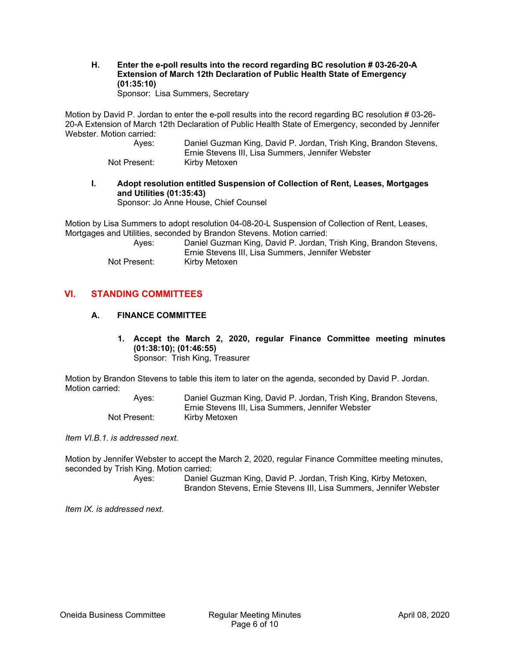**H. Enter the e-poll results into the record regarding BC resolution # 03-26-20-A Extension of March 12th Declaration of Public Health State of Emergency (01:35:10)**  Sponsor: Lisa Summers, Secretary

Motion by David P. Jordan to enter the e-poll results into the record regarding BC resolution # 03-26- 20-A Extension of March 12th Declaration of Public Health State of Emergency, seconded by Jennifer Webster. Motion carried:

| Aves:        | Daniel Guzman King, David P. Jordan, Trish King, Brandon Stevens, |
|--------------|-------------------------------------------------------------------|
|              | Ernie Stevens III. Lisa Summers. Jennifer Webster                 |
| Not Present: | Kirby Metoxen                                                     |

**I. Adopt resolution entitled Suspension of Collection of Rent, Leases, Mortgages and Utilities (01:35:43)** 

Sponsor: Jo Anne House, Chief Counsel

Motion by Lisa Summers to adopt resolution 04-08-20-L Suspension of Collection of Rent, Leases, Mortgages and Utilities, seconded by Brandon Stevens. Motion carried:

| Aves:        | Daniel Guzman King, David P. Jordan, Trish King, Brandon Stevens, |
|--------------|-------------------------------------------------------------------|
|              | Ernie Stevens III. Lisa Summers. Jennifer Webster                 |
| Not Present: | Kirby Metoxen                                                     |

# **VI. STANDING COMMITTEES**

## **A. FINANCE COMMITTEE**

**1. Accept the March 2, 2020, regular Finance Committee meeting minutes (01:38:10); (01:46:55)**  Sponsor: Trish King, Treasurer

Motion by Brandon Stevens to table this item to later on the agenda, seconded by David P. Jordan. Motion carried:

| Aves:        | Daniel Guzman King, David P. Jordan, Trish King, Brandon Stevens, |
|--------------|-------------------------------------------------------------------|
|              | Ernie Stevens III, Lisa Summers, Jennifer Webster                 |
| Not Present: | Kirby Metoxen                                                     |

*Item VI.B.1. is addressed next.* 

Motion by Jennifer Webster to accept the March 2, 2020, regular Finance Committee meeting minutes, seconded by Trish King. Motion carried:

 Ayes: Daniel Guzman King, David P. Jordan, Trish King, Kirby Metoxen, Brandon Stevens, Ernie Stevens III, Lisa Summers, Jennifer Webster

*Item IX. is addressed next.*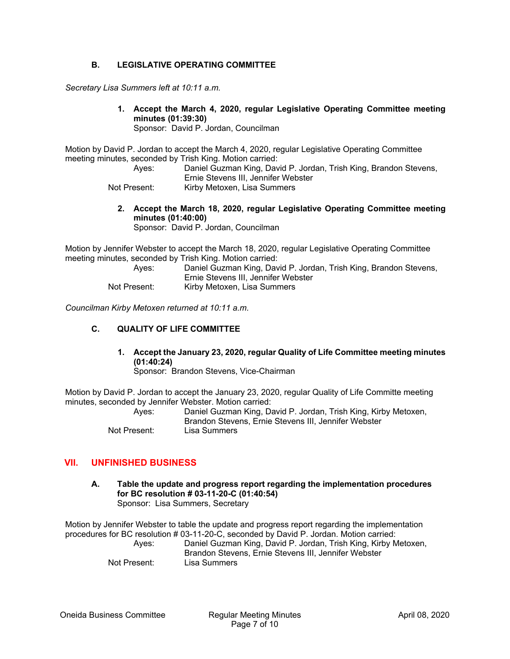## **B. LEGISLATIVE OPERATING COMMITTEE**

*Secretary Lisa Summers left at 10:11 a.m.* 

**1. Accept the March 4, 2020, regular Legislative Operating Committee meeting minutes (01:39:30)** 

Sponsor: David P. Jordan, Councilman

Motion by David P. Jordan to accept the March 4, 2020, regular Legislative Operating Committee meeting minutes, seconded by Trish King. Motion carried:

 Ayes: Daniel Guzman King, David P. Jordan, Trish King, Brandon Stevens, Ernie Stevens III, Jennifer Webster Not Present: Kirby Metoxen, Lisa Summers

**2. Accept the March 18, 2020, regular Legislative Operating Committee meeting minutes (01:40:00)**  Sponsor: David P. Jordan, Councilman

Motion by Jennifer Webster to accept the March 18, 2020, regular Legislative Operating Committee meeting minutes, seconded by Trish King. Motion carried:

| Aves:        | Daniel Guzman King, David P. Jordan, Trish King, Brandon Stevens, |
|--------------|-------------------------------------------------------------------|
|              | Ernie Stevens III. Jennifer Webster                               |
| Not Present: | Kirby Metoxen, Lisa Summers                                       |

*Councilman Kirby Metoxen returned at 10:11 a.m.* 

## **C. QUALITY OF LIFE COMMITTEE**

## **1. Accept the January 23, 2020, regular Quality of Life Committee meeting minutes (01:40:24)**

Sponsor: Brandon Stevens, Vice-Chairman

Motion by David P. Jordan to accept the January 23, 2020, regular Quality of Life Committe meeting minutes, seconded by Jennifer Webster. Motion carried:

| Aves:        | Daniel Guzman King, David P. Jordan, Trish King, Kirby Metoxen,<br>Brandon Stevens, Ernie Stevens III, Jennifer Webster |
|--------------|-------------------------------------------------------------------------------------------------------------------------|
| Not Present: | Lisa Summers                                                                                                            |

## **VII. UNFINISHED BUSINESS**

**A. Table the update and progress report regarding the implementation procedures for BC resolution # 03-11-20-C (01:40:54)**  Sponsor: Lisa Summers, Secretary

Motion by Jennifer Webster to table the update and progress report regarding the implementation procedures for BC resolution # 03-11-20-C, seconded by David P. Jordan. Motion carried: Ayes: Daniel Guzman King, David P. Jordan, Trish King, Kirby Metoxen, Brandon Stevens, Ernie Stevens III, Jennifer Webster Not Present: Lisa Summers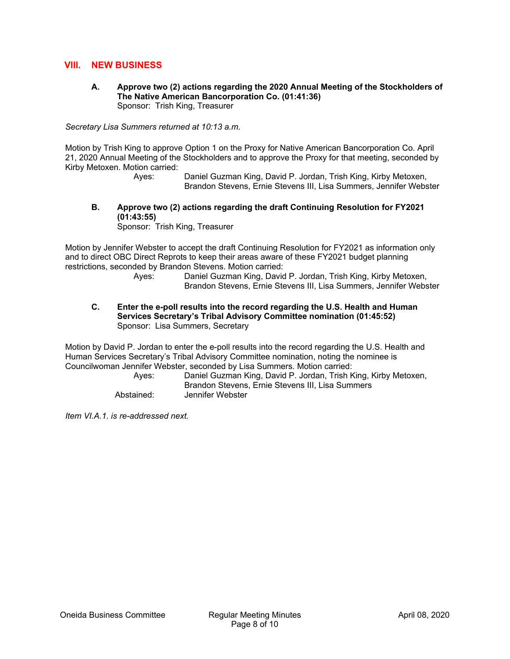## **VIII. NEW BUSINESS**

**A. Approve two (2) actions regarding the 2020 Annual Meeting of the Stockholders of The Native American Bancorporation Co. (01:41:36)**  Sponsor: Trish King, Treasurer

*Secretary Lisa Summers returned at 10:13 a.m.* 

Motion by Trish King to approve Option 1 on the Proxy for Native American Bancorporation Co. April 21, 2020 Annual Meeting of the Stockholders and to approve the Proxy for that meeting, seconded by Kirby Metoxen. Motion carried:

 Ayes: Daniel Guzman King, David P. Jordan, Trish King, Kirby Metoxen, Brandon Stevens, Ernie Stevens III, Lisa Summers, Jennifer Webster

**B. Approve two (2) actions regarding the draft Continuing Resolution for FY2021 (01:43:55)** 

Sponsor: Trish King, Treasurer

Motion by Jennifer Webster to accept the draft Continuing Resolution for FY2021 as information only and to direct OBC Direct Reprots to keep their areas aware of these FY2021 budget planning restrictions, seconded by Brandon Stevens. Motion carried:

 Ayes: Daniel Guzman King, David P. Jordan, Trish King, Kirby Metoxen, Brandon Stevens, Ernie Stevens III, Lisa Summers, Jennifer Webster

**C. Enter the e-poll results into the record regarding the U.S. Health and Human Services Secretary's Tribal Advisory Committee nomination (01:45:52)**  Sponsor: Lisa Summers, Secretary

Motion by David P. Jordan to enter the e-poll results into the record regarding the U.S. Health and Human Services Secretary's Tribal Advisory Committee nomination, noting the nominee is Councilwoman Jennifer Webster, seconded by Lisa Summers. Motion carried:

 Ayes: Daniel Guzman King, David P. Jordan, Trish King, Kirby Metoxen, Brandon Stevens, Ernie Stevens III, Lisa Summers Abstained: Jennifer Webster

*Item VI.A.1. is re-addressed next.*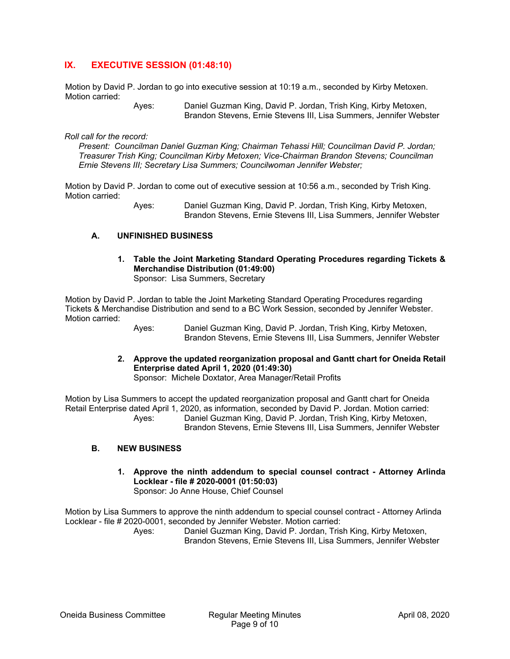# **IX. EXECUTIVE SESSION (01:48:10)**

Motion by David P. Jordan to go into executive session at 10:19 a.m., seconded by Kirby Metoxen. Motion carried:

 Ayes: Daniel Guzman King, David P. Jordan, Trish King, Kirby Metoxen, Brandon Stevens, Ernie Stevens III, Lisa Summers, Jennifer Webster

*Roll call for the record:* 

*Present: Councilman Daniel Guzman King; Chairman Tehassi Hill; Councilman David P. Jordan; Treasurer Trish King; Councilman Kirby Metoxen; Vice-Chairman Brandon Stevens; Councilman Ernie Stevens III; Secretary Lisa Summers; Councilwoman Jennifer Webster;* 

Motion by David P. Jordan to come out of executive session at 10:56 a.m., seconded by Trish King. Motion carried:

> Ayes: Daniel Guzman King, David P. Jordan, Trish King, Kirby Metoxen, Brandon Stevens, Ernie Stevens III, Lisa Summers, Jennifer Webster

### **A. UNFINISHED BUSINESS**

**1. Table the Joint Marketing Standard Operating Procedures regarding Tickets & Merchandise Distribution (01:49:00)**  Sponsor: Lisa Summers, Secretary

Motion by David P. Jordan to table the Joint Marketing Standard Operating Procedures regarding Tickets & Merchandise Distribution and send to a BC Work Session, seconded by Jennifer Webster. Motion carried:

 Ayes: Daniel Guzman King, David P. Jordan, Trish King, Kirby Metoxen, Brandon Stevens, Ernie Stevens III, Lisa Summers, Jennifer Webster

**2. Approve the updated reorganization proposal and Gantt chart for Oneida Retail Enterprise dated April 1, 2020 (01:49:30)** 

Sponsor: Michele Doxtator, Area Manager/Retail Profits

Motion by Lisa Summers to accept the updated reorganization proposal and Gantt chart for Oneida Retail Enterprise dated April 1, 2020, as information, seconded by David P. Jordan. Motion carried: Ayes: Daniel Guzman King, David P. Jordan, Trish King, Kirby Metoxen,

Brandon Stevens, Ernie Stevens III, Lisa Summers, Jennifer Webster

#### **B. NEW BUSINESS**

**1. Approve the ninth addendum to special counsel contract - Attorney Arlinda Locklear - file # 2020-0001 (01:50:03)**  Sponsor: Jo Anne House, Chief Counsel

Motion by Lisa Summers to approve the ninth addendum to special counsel contract - Attorney Arlinda Locklear - file # 2020-0001, seconded by Jennifer Webster. Motion carried:

 Ayes: Daniel Guzman King, David P. Jordan, Trish King, Kirby Metoxen, Brandon Stevens, Ernie Stevens III, Lisa Summers, Jennifer Webster